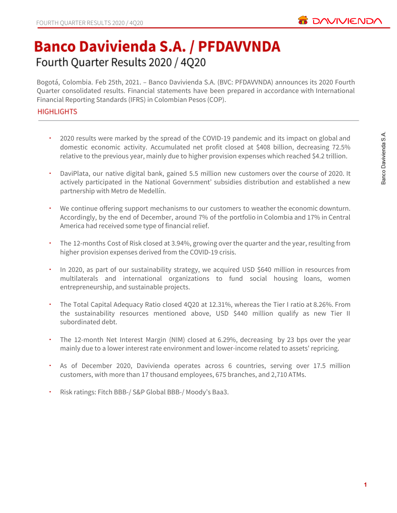

# **Banco Davivienda S.A. / PFDAVVNDA** Fourth Quarter Results 2020 / 4Q20

Bogotá, Colombia. Feb 25th, 2021. – Banco Davivienda S.A. (BVC: PFDAVVNDA) announces its 2020 Fourth Quarter consolidated results. Financial statements have been prepared in accordance with International Financial Reporting Standards (IFRS) in Colombian Pesos (COP).

# **HIGHLIGHTS**

- 2020 results were marked by the spread of the COVID-19 pandemic and its impact on global and domestic economic activity. Accumulated net profit closed at \$408 billion, decreasing 72.5% relative to the previous year, mainly due to higher provision expenses which reached \$4.2 trillion.
- DaviPlata, our native digital bank, gained 5.5 million new customers over the course of 2020. It actively participated in the National Government' subsidies distribution and established a new partnership with Metro de Medellín.
- We continue offering support mechanisms to our customers to weather the economic downturn. Accordingly, by the end of December, around 7% of the portfolio in Colombia and 17% in Central America had received some type of financial relief.
- The 12-months Cost of Risk closed at 3.94%, growing over the quarter and the year, resulting from higher provision expenses derived from the COVID-19 crisis.
- In 2020, as part of our sustainability strategy, we acquired USD \$640 million in resources from multilaterals and international organizations to fund social housing loans, women entrepreneurship, and sustainable projects.
- The Total Capital Adequacy Ratio closed 4Q20 at 12.31%, whereas the Tier I ratio at 8.26%. From the sustainability resources mentioned above, USD \$440 million qualify as new Tier II subordinated debt.
- The 12-month Net Interest Margin (NIM) closed at 6.29%, decreasing by 23 bps over the year mainly due to a lower interest rate environment and lower-income related to assets' repricing.
- As of December 2020, Davivienda operates across 6 countries, serving over 17.5 million customers, with more than 17 thousand employees, 675 branches, and 2,710 ATMs.
- Risk ratings: Fitch BBB-/ S&P Global BBB-/ Moody's Baa3.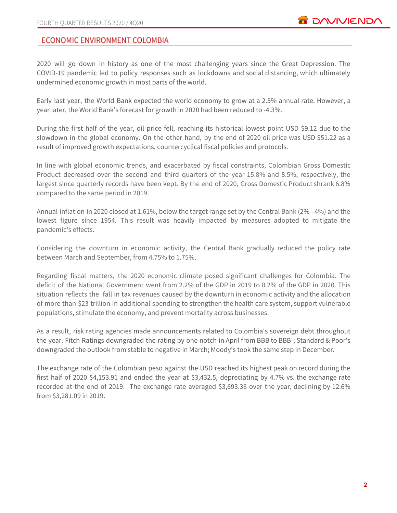# **ECONOMIC ENVIRONMENT COLOMBIA**

2020 will go down in history as one of the most challenging years since the Great Depression. The COVID-19 pandemic led to policy responses such as lockdowns and social distancing, which ultimately undermined economic growth in most parts of the world.

Early last year, the World Bank expected the world economy to grow at a 2.5% annual rate. However, a year later, the World Bank's forecast for growth in 2020 had been reduced to -4.3%.

During the first half of the year, oil price fell, reaching its historical lowest point USD \$9.12 due to the slowdown in the global economy. On the other hand, by the end of 2020 oil price was USD \$51.22 as a result of improved growth expectations, countercyclical fiscal policies and protocols.

In line with global economic trends, and exacerbated by fiscal constraints, Colombian Gross Domestic Product decreased over the second and third quarters of the year 15.8% and 8.5%, respectively, the largest since quarterly records have been kept. By the end of 2020, Gross Domestic Product shrank 6.8% compared to the same period in 2019.

Annual inflation in 2020 closed at 1.61%, below the target range set by the Central Bank (2% - 4%) and the lowest figure since 1954. This result was heavily impacted by measures adopted to mitigate the pandemic's effects.

Considering the downturn in economic activity, the Central Bank gradually reduced the policy rate between March and September, from 4.75% to 1.75%.

Regarding fiscal matters, the 2020 economic climate posed significant challenges for Colombia. The deficit of the National Government went from 2.2% of the GDP in 2019 to 8.2% of the GDP in 2020. This situation reflects the fall in tax revenues caused by the downturn in economic activity and the allocation of more than \$23 trillion in additional spending to strengthen the health care system, support vulnerable populations, stimulate the economy, and prevent mortality across businesses.

As a result, risk rating agencies made announcements related to Colombia's sovereign debt throughout the year. Fitch Ratings downgraded the rating by one notch in April from BBB to BBB-; Standard & Poor's downgraded the outlook from stable to negative in March; Moody's took the same step in December.

The exchange rate of the Colombian peso against the USD reached its highest peak on record during the first half of 2020 \$4,153.91 and ended the year at \$3,432.5, depreciating by 4.7% vs. the exchange rate recorded at the end of 2019. The exchange rate averaged \$3,693.36 over the year, declining by 12.6% from \$3,281.09 in 2019.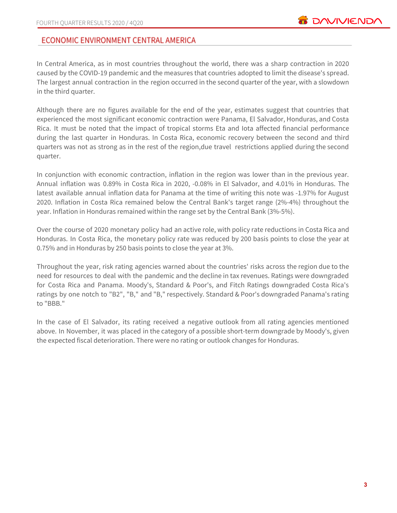# ECONOMIC ENVIRONMENT CENTRAL AMERICA

In Central America, as in most countries throughout the world, there was a sharp contraction in 2020 caused by the COVID-19 pandemic and the measures that countries adopted to limit the disease's spread. The largest annual contraction in the region occurred in the second quarter of the year, with a slowdown in the third quarter.

Although there are no figures available for the end of the year, estimates suggest that countries that experienced the most significant economic contraction were Panama, El Salvador, Honduras, and Costa Rica. It must be noted that the impact of tropical storms Eta and Iota affected financial performance during the last quarter in Honduras. In Costa Rica, economic recovery between the second and third quarters was not as strong as in the rest of the region,due travel restrictions applied during the second quarter.

In conjunction with economic contraction, inflation in the region was lower than in the previous year. Annual inflation was 0.89% in Costa Rica in 2020, -0.08% in El Salvador, and 4.01% in Honduras. The latest available annual inflation data for Panama at the time of writing this note was -1.97% for August 2020. Inflation in Costa Rica remained below the Central Bank's target range (2%-4%) throughout the year. Inflation in Honduras remained within the range set by the Central Bank (3%-5%).

Over the course of 2020 monetary policy had an active role, with policy rate reductions in Costa Rica and Honduras. In Costa Rica, the monetary policy rate was reduced by 200 basis points to close the year at 0.75% and in Honduras by 250 basis points to close the year at 3%.

Throughout the year, risk rating agencies warned about the countries' risks across the region due to the need for resources to deal with the pandemic and the decline in tax revenues. Ratings were downgraded for Costa Rica and Panama. Moody's, Standard & Poor's, and Fitch Ratings downgraded Costa Rica's ratings by one notch to "B2", "B," and "B," respectively. Standard & Poor's downgraded Panama's rating to "BBB."

In the case of El Salvador, its rating received a negative outlook from all rating agencies mentioned above. In November, it was placed in the category of a possible short-term downgrade by Moody's, given the expected fiscal deterioration. There were no rating or outlook changes for Honduras.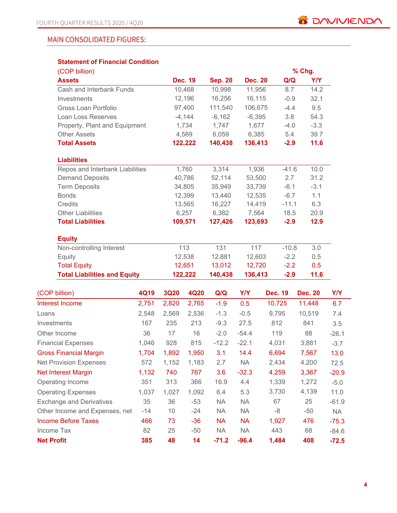# **MAIN CONSOLIDATED FIGURES:**

# **Statement of Financial Condition**

| (COP billion)                       |       |             |                |                |                |                | % Chg.         |            |            |
|-------------------------------------|-------|-------------|----------------|----------------|----------------|----------------|----------------|------------|------------|
| <b>Assets</b>                       |       |             | <b>Dec. 19</b> | <b>Sep. 20</b> | <b>Dec. 20</b> | Q/Q            |                | <b>Y/Y</b> |            |
| Cash and Interbank Funds            |       |             | 10,468         | 10,998         | 11,956         | 8.7            |                | 14.2       |            |
| Investments                         |       |             | 12,196         | 16,256         | 16,115         | $-0.9$         |                | 32.1       |            |
| Gross Loan Portfolio                |       |             | 97,400         | 111,540        | 106,675        | $-4.4$         |                | 9.5        |            |
| Loan Loss Reserves                  |       |             | $-4,144$       | $-6,162$       | $-6,395$       | 3.8            |                | 54.3       |            |
| Property, Plant and Equipment       |       |             | 1,734          | 1,747          | 1,677          | $-4.0$         |                | $-3.3$     |            |
| <b>Other Assets</b>                 |       |             | 4,569          | 6,059          | 6,385          | 5.4            |                | 39.7       |            |
| <b>Total Assets</b>                 |       |             | 122,222        | 140,438        | 136,413        | $-2.9$         |                | 11.6       |            |
| <b>Liabilities</b>                  |       |             |                |                |                |                |                |            |            |
| Repos and Interbank Liabilities     |       |             | 1,760          | 3,314          | 1,936          | $-41.6$        |                | 10.0       |            |
| <b>Demand Deposits</b>              |       |             | 40,786         | 52,114         | 53,500         | 2.7            |                | 31.2       |            |
| <b>Term Deposits</b>                |       |             | 34,805         | 35,949         | 33,739         | $-6.1$         |                | $-3.1$     |            |
| <b>Bonds</b>                        |       |             | 12,399         | 13,440         | 12,535         | $-6.7$         |                | 1.1        |            |
| <b>Credits</b>                      |       |             | 13,565         | 16,227         | 14,419         | $-11.1$        |                | 6.3        |            |
| <b>Other Liabilities</b>            |       |             | 6,257          | 6,382          | 7,564          | 18.5           |                | 20.9       |            |
| <b>Total Liabilities</b>            |       |             | 109,571        | 127,426        | 123,693        | $-2.9$         |                | 12.9       |            |
| <b>Equity</b>                       |       |             |                |                |                |                |                |            |            |
| Non-controlling Interest            |       |             | 113            | 131            | 117            | $-10.8$        |                | 3.0        |            |
| Equity                              |       |             | 12,538         | 12,881         | 12,603         | $-2.2$         |                | 0.5        |            |
| <b>Total Equity</b>                 |       |             | 12,651         | 13,012         | 12,720         | $-2.2$         |                | 0.5        |            |
| <b>Total Liabilities and Equity</b> |       |             | 122,222        | 140,438        | 136,413        | $-2.9$         |                | 11.6       |            |
| (COP billion)                       | 4Q19  | <b>3Q20</b> | 4Q20           | Q/Q            | <b>Y/Y</b>     | <b>Dec. 19</b> | <b>Dec. 20</b> |            | <b>Y/Y</b> |
| <b>Interest Income</b>              | 2,751 | 2,820       | 2,765          | $-1.9$         | 0.5            | 10,725         | 11,448         |            | 6.7        |

| Interest Income                 | 2,751 | 2,820 | 2,765 | $-1.9$    | 0.5       | 10,725 | 11,448 | 6.7       |
|---------------------------------|-------|-------|-------|-----------|-----------|--------|--------|-----------|
| Loans                           | 2,548 | 2,569 | 2,536 | $-1.3$    | $-0.5$    | 9,795  | 10,519 | 7.4       |
| Investments                     | 167   | 235   | 213   | $-9.3$    | 27.5      | 812    | 841    | 3.5       |
| Other Income                    | 36    | 17    | 16    | $-2.0$    | $-54.4$   | 119    | 88     | $-26.1$   |
| <b>Financial Expenses</b>       | 1,046 | 928   | 815   | $-12.2$   | $-22.1$   | 4,031  | 3,881  | $-3.7$    |
| <b>Gross Financial Margin</b>   | 1,704 | 1,892 | 1,950 | 3.1       | 14.4      | 6,694  | 7,567  | 13.0      |
| <b>Net Provision Expenses</b>   | 572   | 1,152 | 1,183 | 2.7       | <b>NA</b> | 2,434  | 4,200  | 72.5      |
| <b>Net Interest Margin</b>      | 1,132 | 740   | 767   | 3.6       | $-32.3$   | 4,259  | 3,367  | $-20.9$   |
| Operating Income                | 351   | 313   | 366   | 16.9      | 4.4       | 1,339  | 1,272  | $-5.0$    |
| <b>Operating Expenses</b>       | 1,037 | 1,027 | 1,092 | 6.4       | 5.3       | 3,730  | 4,139  | 11.0      |
| <b>Exchange and Derivatives</b> | 35    | 36    | $-53$ | <b>NA</b> | <b>NA</b> | 67     | 25     | $-61.9$   |
| Other Income and Expenses, net  | $-14$ | 10    | $-24$ | <b>NA</b> | <b>NA</b> | -8     | $-50$  | <b>NA</b> |
| <b>Income Before Taxes</b>      | 466   | 73    | $-36$ | <b>NA</b> | <b>NA</b> | 1,927  | 476    | $-75.3$   |
| Income Tax                      | 82    | 25    | $-50$ | <b>NA</b> | NA.       | 443    | 68     | $-84.6$   |
| <b>Net Profit</b>               | 385   | 48    | 14    | $-71.2$   | $-96.4$   | 1,484  | 408    | $-72.5$   |

**B** DAVIVIENDA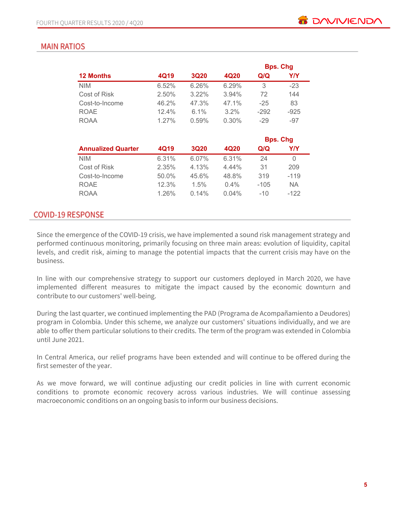# **MAIN RATIOS**

|                  |          |             |         |        | <b>Bps. Chg</b> |
|------------------|----------|-------------|---------|--------|-----------------|
| <b>12 Months</b> | 4Q19     | <b>3Q20</b> | 4Q20    | Q/Q    | Y/Y             |
| <b>NIM</b>       | 6.52%    | 6.26%       | 6.29%   | 3      | $-23$           |
| Cost of Risk     | 2.50%    | $3.22\%$    | 3.94%   | 72     | 144             |
| Cost-to-Income   | 46.2%    | 47.3%       | 47.1%   | $-25$  | 83              |
| <b>ROAE</b>      | 12.4%    | $6.1\%$     | $3.2\%$ | $-292$ | $-925$          |
| <b>ROAA</b>      | $1.27\%$ | 0.59%       | 0.30%   | $-29$  | $-97$           |
|                  |          |             |         |        |                 |

|                           |       |             |          |        | <b>Bps. Chg</b> |
|---------------------------|-------|-------------|----------|--------|-----------------|
| <b>Annualized Quarter</b> | 4Q19  | <b>3Q20</b> | 4Q20     | Q/Q    | Y/Y             |
| <b>NIM</b>                | 6.31% | 6.07%       | 6.31%    | 24     | 0               |
| Cost of Risk              | 2.35% | 4.13%       | $4.44\%$ | 31     | 209             |
| Cost-to-Income            | 50.0% | 45.6%       | 48.8%    | 319    | $-119$          |
| <b>ROAE</b>               | 12.3% | 1.5%        | $0.4\%$  | $-105$ | ΝA              |
| <b>ROAA</b>               | 1.26% | $0.14\%$    | $0.04\%$ | $-10$  | $-122$          |

### **COVID-19 RESPONSE**

Since the emergence of the COVID-19 crisis, we have implemented a sound risk management strategy and performed continuous monitoring, primarily focusing on three main areas: evolution of liquidity, capital levels, and credit risk, aiming to manage the potential impacts that the current crisis may have on the business.

In line with our comprehensive strategy to support our customers deployed in March 2020, we have implemented different measures to mitigate the impact caused by the economic downturn and contribute to our customers' well-being.

During the last quarter, we continued implementing the PAD (Programa de Acompañamiento a Deudores) program in Colombia. Under this scheme, we analyze our customers' situations individually, and we are able to offer them particular solutions to their credits. The term of the program was extended in Colombia until June 2021.

In Central America, our relief programs have been extended and will continue to be offered during the first semester of the year.

As we move forward, we will continue adjusting our credit policies in line with current economic conditions to promote economic recovery across various industries. We will continue assessing macroeconomic conditions on an ongoing basis to inform our business decisions.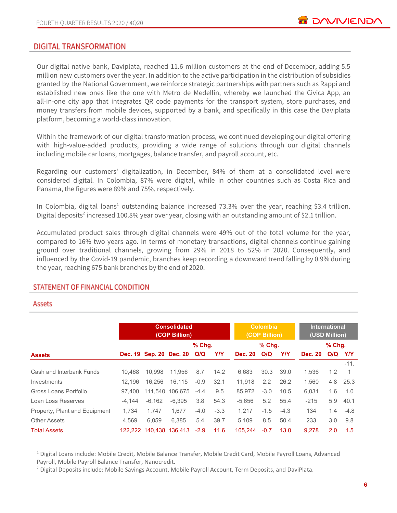### DIGITAL TRANSFORMATION

Our digital native bank, Daviplata, reached 11.6 million customers at the end of December, adding 5.5 million new customers over the year. In addition to the active participation in the distribution of subsidies granted by the National Government, we reinforce strategic partnerships with partners such as Rappi and established new ones like the one with Metro de Medellín, whereby we launched the Civica App, an all-in-one city app that integrates QR code payments for the transport system, store purchases, and money transfers from mobile devices, supported by a bank, and specifically in this case the Daviplata platform, becoming a world-class innovation.

Within the framework of our digital transformation process, we continued developing our digital offering with high-value-added products, providing a wide range of solutions through our digital channels including mobile car loans, mortgages, balance transfer, and payroll account, etc.

Regarding our customers' digitalization, in December, 84% of them at a consolidated level were considered digital. In Colombia, 87% were digital, while in other countries such as Costa Rica and Panama, the figures were 89% and 75%, respectively.

In Colombia, digital loans<sup>1</sup> outstanding balance increased 73.3% over the year, reaching \$3.4 trillion. Digital deposits<sup>2</sup> increased 100.8% year over year, closing with an outstanding amount of \$2.1 trillion.

Accumulated product sales through digital channels were 49% out of the total volume for the year, compared to 16% two years ago. In terms of monetary transactions, digital channels continue gaining ground over traditional channels, growing from 29% in 2018 to 52% in 2020. Consequently, and influenced by the Covid-19 pandemic, branches keep recording a downward trend falling by 0.9% during the year, reaching 675 bank branches by the end of 2020.

#### STATEMENT OF FINANCIAL CONDITION

#### Assets

|                               | <b>Consolidated</b><br>(COP Billion) |          |                         |          | Colombia<br>(COP Billion) |                |          | <b>International</b><br>(USD Million) |                |          |                |
|-------------------------------|--------------------------------------|----------|-------------------------|----------|---------------------------|----------------|----------|---------------------------------------|----------------|----------|----------------|
|                               |                                      |          |                         | $%$ Chg. |                           |                | $%$ Chg. |                                       |                | $%$ Chg. |                |
| <b>Assets</b>                 |                                      |          | Dec. 19 Sep. 20 Dec. 20 | Q/Q      | <b>Y/Y</b>                | <b>Dec. 20</b> | Q/Q      | Y/Y                                   | <b>Dec. 20</b> | Q/Q      | <b>Y/Y</b>     |
|                               |                                      |          |                         |          |                           |                |          |                                       |                |          | $-11.$         |
| Cash and Interbank Funds      | 10.468                               | 10.998   | 11.956                  | 8.7      | 14.2                      | 6,683          | 30.3     | 39.0                                  | 1,536          | 1.2      | $\overline{1}$ |
| Investments                   | 12.196                               | 16.256   | 16.115                  | $-0.9$   | 32.1                      | 11,918         | 2.2      | 26.2                                  | 1.560          | 4.8      | 25.3           |
| Gross Loans Portfolio         | 97.400                               | 111,540  | 106.675                 | $-4.4$   | 9.5                       | 85.972         | $-3.0$   | 10.5                                  | 6.031          | 1.6      | 1.0            |
| Loan Loss Reserves            | $-4.144$                             | $-6.162$ | $-6.395$                | 3.8      | 54.3                      | $-5.656$       | 5.2      | 55.4                                  | $-215$         | 5.9      | 40.1           |
| Property, Plant and Equipment | 1.734                                | 1.747    | 1.677                   | $-4.0$   | $-3.3$                    | 1.217          | $-1.5$   | $-4.3$                                | 134            | 1.4      | $-4.8$         |
| <b>Other Assets</b>           | 4.569                                | 6.059    | 6.385                   | 5.4      | 39.7                      | 5.109          | 8.5      | 50.4                                  | 233            | 3.0      | 9.8            |
| <b>Total Assets</b>           |                                      |          | 122.222 140.438 136.413 | $-2.9$   | 11.6                      | 105.244        | $-0.7$   | 13.0                                  | 9.278          | 2.0      | 1.5            |

 $1$  Digital Loans include: Mobile Credit, Mobile Balance Transfer, Mobile Credit Card, Mobile Payroll Loans, Advanced

Payroll, Mobile Payroll Balance Transfer, Nanocredit.

<sup>&</sup>lt;sup>2</sup> Digital Deposits include: Mobile Savings Account, Mobile Payroll Account, Term Deposits, and DaviPlata.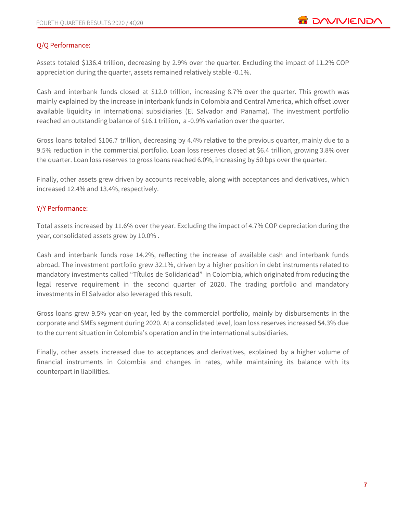# Q/Q Performance:

Assets totaled \$136.4 trillion, decreasing by 2.9% over the quarter. Excluding the impact of 11.2% COP appreciation during the quarter, assets remained relatively stable -0.1%.

Cash and interbank funds closed at \$12.0 trillion, increasing 8.7% over the quarter. This growth was mainly explained by the increase in interbank funds in Colombia and Central America, which offset lower available liquidity in international subsidiaries (El Salvador and Panama). The investment portfolio reached an outstanding balance of \$16.1 trillion, a -0.9% variation over the quarter.

Gross loans totaled \$106.7 trillion, decreasing by 4.4% relative to the previous quarter, mainly due to a 9.5% reduction in the commercial portfolio. Loan loss reserves closed at \$6.4 trillion, growing 3.8% over the quarter. Loan loss reserves to gross loans reached 6.0%, increasing by 50 bps over the quarter.

Finally, other assets grew driven by accounts receivable, along with acceptances and derivatives, which increased 12.4% and 13.4%, respectively.

### Y/Y Performance:

Total assets increased by 11.6% over the year. Excluding the impact of 4.7% COP depreciation during the year, consolidated assets grew by 10.0% .

Cash and interbank funds rose 14.2%, reflecting the increase of available cash and interbank funds abroad. The investment portfolio grew 32.1%, driven by a higher position in debt instruments related to mandatory investments called "Títulos de Solidaridad" in Colombia, which originated from reducing the legal reserve requirement in the second quarter of 2020. The trading portfolio and mandatory investments in El Salvador also leveraged this result.

Gross loans grew 9.5% year-on-year, led by the commercial portfolio, mainly by disbursements in the corporate and SMEs segment during 2020. At a consolidated level, loan loss reserves increased 54.3% due to the current situation in Colombia's operation and in the international subsidiaries.

Finally, other assets increased due to acceptances and derivatives, explained by a higher volume of financial instruments in Colombia and changes in rates, while maintaining its balance with its counterpart in liabilities.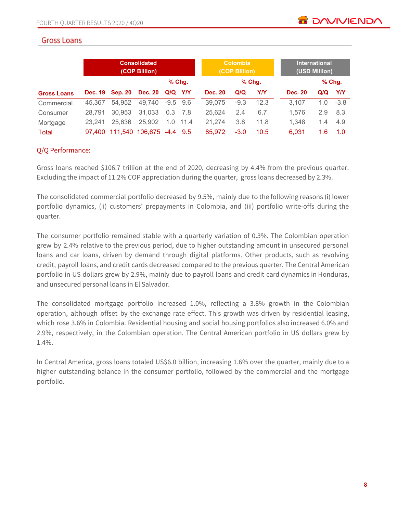# **Gross Loans**

|                    | <b>Consolidated</b><br>(COP Billion) |                          |                 |            |      | <b>Colombia</b><br>(COP Billion) |        |          | <b>International</b><br>(USD Million) |     |          |
|--------------------|--------------------------------------|--------------------------|-----------------|------------|------|----------------------------------|--------|----------|---------------------------------------|-----|----------|
|                    |                                      |                          |                 | $%$ Chg.   |      |                                  |        | $%$ Chg. |                                       |     | $%$ Chg. |
| <b>Gross Loans</b> | <b>Dec. 19</b>                       | <b>Sep. 20</b>           | Dec. 20 Q/Q Y/Y |            |      | <b>Dec. 20</b>                   | Q/Q    | Y/Y      | <b>Dec. 20</b>                        | Q/Q | YN       |
| Commercial         | 45.367                               | 54,952                   | 49,740          | $-9.5$ 9.6 |      | 39,075                           | $-9.3$ | 12.3     | 3.107                                 | 1.0 | $-3.8$   |
| Consumer           | 28.791                               | 30,953                   | 31,033          | 0.3        | 7.8  | 25.624                           | 2.4    | 6.7      | 1.576                                 | 2.9 | 8.3      |
| Mortgage           | 23.241                               | 25,636                   | 25,902          | 1.0        | 11.4 | 21.274                           | 3.8    | 11.8     | 1.348                                 | 1.4 | 4.9      |
| Total              | 97.400                               | 111.540 106.675 -4.4 9.5 |                 |            |      | 85.972                           | $-3.0$ | 10.5     | 6,031                                 | 1.6 | 1.0      |

# Q/Q Performance:

Gross loans reached \$106.7 trillion at the end of 2020, decreasing by 4.4% from the previous quarter. Excluding the impact of 11.2% COP appreciation during the quarter, gross loans decreased by 2.3%.

The consolidated commercial portfolio decreased by 9.5%, mainly due to the following reasons (i) lower portfolio dynamics, (ii) customers' prepayments in Colombia, and (iii) portfolio write-offs during the quarter.

The consumer portfolio remained stable with a quarterly variation of 0.3%. The Colombian operation grew by 2.4% relative to the previous period, due to higher outstanding amount in unsecured personal loans and car loans, driven by demand through digital platforms. Other products, such as revolving credit, payroll loans, and credit cards decreased compared to the previous quarter. The Central American portfolio in US dollars grew by 2.9%, mainly due to payroll loans and credit card dynamics in Honduras, and unsecured personal loans in El Salvador.

The consolidated mortgage portfolio increased 1.0%, reflecting a 3.8% growth in the Colombian operation, although offset by the exchange rate effect. This growth was driven by residential leasing, which rose 3.6% in Colombia. Residential housing and social housing portfolios also increased 6.0% and 2.9%, respectively, in the Colombian operation. The Central American portfolio in US dollars grew by 1.4%.

In Central America, gross loans totaled US\$6.0 billion, increasing 1.6% over the quarter, mainly due to a higher outstanding balance in the consumer portfolio, followed by the commercial and the mortgage portfolio.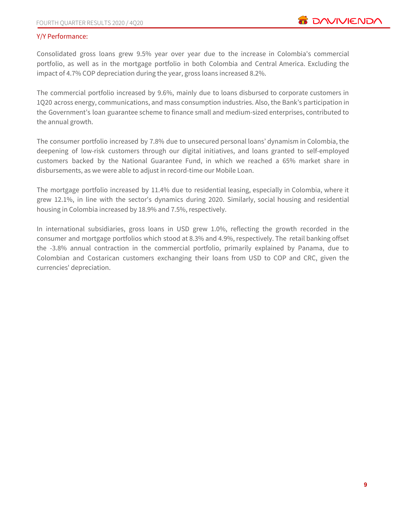### Y/Y Performance:

Consolidated gross loans grew 9.5% year over year due to the increase in Colombia's commercial portfolio, as well as in the mortgage portfolio in both Colombia and Central America. Excluding the impact of 4.7% COP depreciation during the year, gross loans increased 8.2%.

The commercial portfolio increased by 9.6%, mainly due to loans disbursed to corporate customers in 1Q20 across energy, communications, and mass consumption industries. Also, the Bank's participation in the Government's loan guarantee scheme to finance small and medium-sized enterprises, contributed to the annual growth.

The consumer portfolio increased by 7.8% due to unsecured personal loans' dynamism in Colombia, the deepening of low-risk customers through our digital initiatives, and loans granted to self-employed customers backed by the National Guarantee Fund, in which we reached a 65% market share in disbursements, as we were able to adjust in record-time our Mobile Loan.

The mortgage portfolio increased by 11.4% due to residential leasing, especially in Colombia, where it grew 12.1%, in line with the sector's dynamics during 2020. Similarly, social housing and residential housing in Colombia increased by 18.9% and 7.5%, respectively.

In international subsidiaries, gross loans in USD grew 1.0%, reflecting the growth recorded in the consumer and mortgage portfolios which stood at 8.3% and 4.9%, respectively. The retail banking offset the -3.8% annual contraction in the commercial portfolio, primarily explained by Panama, due to Colombian and Costarican customers exchanging their loans from USD to COP and CRC, given the currencies' depreciation.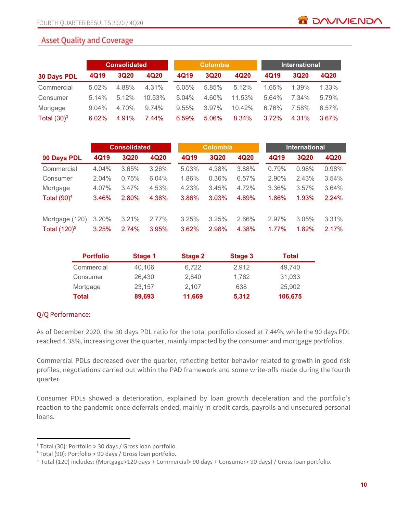# **Asset Quality and Coverage**

|                    |       | <b>Consolidated</b> |        |       | <b>Colombia</b> |        |       | <b>International</b> |          |  |
|--------------------|-------|---------------------|--------|-------|-----------------|--------|-------|----------------------|----------|--|
| <b>30 Days PDL</b> | 4Q19  | <b>3Q20</b>         | 4Q20   | 4Q19  | <b>3Q20</b>     | 4Q20   | 4Q19  | <b>3Q20</b>          | 4Q20     |  |
| Commercial         | 5.02% | 4.88%               | 4.31%  | 6.05% | 5.85%           | 5.12%  | 1.65% | 1.39%                | 1.33%    |  |
| Consumer           | 5.14% | 5.12%               | 10.53% | 5.04% | 4.60%           | 11.53% | 5.64% | 7.34%                | 5.79%    |  |
| Mortgage           | 9.04% | 4.70%               | 9.74%  | 9.55% | $3.97\%$        | 10.42% | 6.76% | 7.58%                | 6.57%    |  |
| Total $(30)^3$     | 6.02% | 4.91%               | 7.44%  | 6.59% | 5.06%           | 8.34%  | 3.72% | 4.31%                | $3.67\%$ |  |

|                 |       | <b>Consolidated</b> |       |       | <b>Colombia</b> |       |       | <b>International</b> |       |  |
|-----------------|-------|---------------------|-------|-------|-----------------|-------|-------|----------------------|-------|--|
| 90 Days PDL     | 4Q19  | <b>3Q20</b>         | 4Q20  | 4Q19  | <b>3Q20</b>     | 4Q20  | 4Q19  | <b>3Q20</b>          | 4Q20  |  |
| Commercial      | 4.04% | 3.65%               | 3.26% | 5.03% | 4.38%           | 3.88% | 0.79% | 0.98%                | 0.98% |  |
| Consumer        | 2.04% | 0.75%               | 6.04% | 1.86% | 0.36%           | 6.57% | 2.90% | 2.43%                | 3.54% |  |
| Mortgage        | 4.07% | 3.47%               | 4.53% | 4.23% | 3.45%           | 4.72% | 3.36% | 3.57%                | 3.64% |  |
| Total $(90)^4$  | 3.46% | 2.80%               | 4.38% | 3.86% | 3.03%           | 4.89% | 1.86% | 1.93%                | 2.24% |  |
| Mortgage (120)  | 3.20% | 3.21%               | 2.77% | 3.25% | 3.25%           | 2.66% | 2.97% | 3.05%                | 3.31% |  |
| Total $(120)^5$ | 3.25% | 2.74%               | 3.95% | 3.62% | 2.98%           | 4.38% | 1.77% | 1.82%                | 2.17% |  |

| <b>Portfolio</b> | Stage 1 | Stage 2 | Stage 3 | <b>Total</b> |
|------------------|---------|---------|---------|--------------|
| Commercial       | 40,106  | 6,722   | 2,912   | 49.740       |
| Consumer         | 26,430  | 2.840   | 1.762   | 31,033       |
| Mortgage         | 23,157  | 2.107   | 638     | 25,902       |
| Total            | 89,693  | 11,669  | 5,312   | 106,675      |

### Q/Q Performance:

As of December 2020, the 30 days PDL ratio for the total portfolio closed at 7.44%, while the 90 days PDL reached 4.38%, increasing over the quarter, mainly impacted by the consumer and mortgage portfolios.

Commercial PDLs decreased over the quarter, reflecting better behavior related to growth in good risk profiles, negotiations carried out within the PAD framework and some write-offs made during the fourth quarter.

Consumer PDLs showed a deterioration, explained by loan growth deceleration and the portfolio's reaction to the pandemic once deferrals ended, mainly in credit cards, payrolls and unsecured personal loans.

 $3$  Total (30): Portfolio > 30 days / Gross loan portfolio.

<sup>4</sup> Total (90): Portfolio > 90 days / Gross loan portfolio.

<sup>5</sup> Total (120) includes: (Mortgage>120 days + Commercial> 90 days + Consumer> 90 days) / Gross loan portfolio.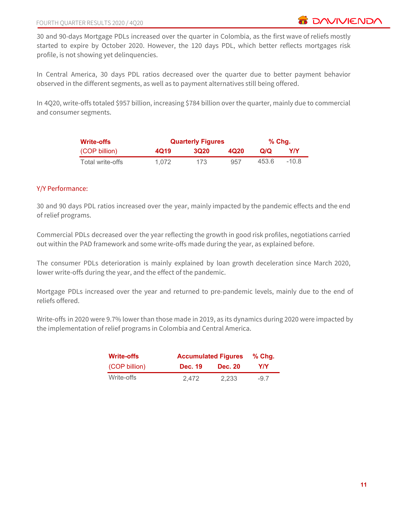30 and 90-days Mortgage PDLs increased over the quarter in Colombia, as the first wave of reliefs mostly started to expire by October 2020. However, the 120 days PDL, which better reflects mortgages risk profile, is not showing yet delinquencies.

In Central America, 30 days PDL ratios decreased over the quarter due to better payment behavior observed in the different segments, as well as to payment alternatives still being offered.

In 4Q20, write-offs totaled \$957 billion, increasing \$784 billion over the quarter, mainly due to commercial and consumer segments.

| <b>Write-offs</b> | <b>Quarterly Figures</b> | % Chq.      |      |       |         |
|-------------------|--------------------------|-------------|------|-------|---------|
| (COP billion)     | 4Q19                     | <b>3Q20</b> | 4020 | Q/Q   | Y/Y     |
| Total write-offs  | 1.072                    | 173         | 957  | 453.6 | $-10.8$ |

### Y/Y Performance:

30 and 90 days PDL ratios increased over the year, mainly impacted by the pandemic effects and the end of relief programs.

Commercial PDLs decreased over the year reflecting the growth in good risk profiles, negotiations carried out within the PAD framework and some write-offs made during the year, as explained before.

The consumer PDLs deterioration is mainly explained by loan growth deceleration since March 2020, lower write-offs during the year, and the effect of the pandemic.

Mortgage PDLs increased over the year and returned to pre-pandemic levels, mainly due to the end of reliefs offered.

Write-offs in 2020 were 9.7% lower than those made in 2019, as its dynamics during 2020 were impacted by the implementation of relief programs in Colombia and Central America.

| <b>Write-offs</b> |                | <b>Accumulated Figures</b> |       |  |  |  |  |
|-------------------|----------------|----------------------------|-------|--|--|--|--|
| (COP billion)     | <b>Dec. 19</b> | <b>Dec. 20</b>             | Y/Y   |  |  |  |  |
| Write-offs        | 2.472          | 2.233                      | $-97$ |  |  |  |  |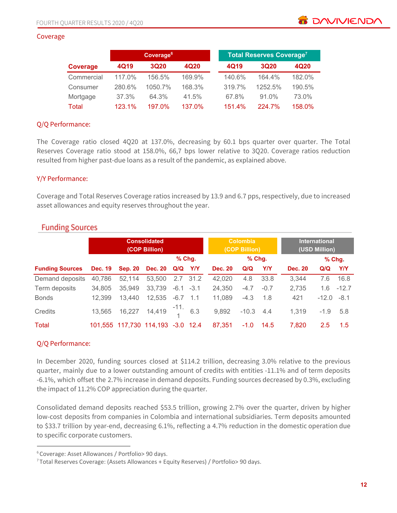#### Coverage

|              |        | Coverage <sup>6</sup> |        |        | <b>Total Reserves Coverage<sup>7</sup></b> |        |
|--------------|--------|-----------------------|--------|--------|--------------------------------------------|--------|
| Coverage     | 4Q19   | 3Q20                  | 4Q20   | 4Q19   | <b>3Q20</b>                                | 4Q20   |
| Commercial   | 117.0% | 156.5%                | 169.9% | 140.6% | 164.4%                                     | 182.0% |
| Consumer     | 280.6% | 1050.7%               | 168.3% | 319.7% | 1252.5%                                    | 190.5% |
| Mortgage     | 37.3%  | 64.3%                 | 41.5%  | 67.8%  | $91.0\%$                                   | 73.0%  |
| <b>Total</b> | 123.1% | 197.0%                | 137.0% | 151.4% | 224.7%                                     | 158.0% |

#### Q/Q Performance:

The Coverage ratio closed 4Q20 at 137.0%, decreasing by 60.1 bps quarter over quarter. The Total Reserves Coverage ratio stood at 158.0%, 66,7 bps lower relative to 3Q20. Coverage ratios reduction resulted from higher past-due loans as a result of the pandemic, as explained above.

#### Y/Y Performance:

Coverage and Total Reserves Coverage ratios increased by 13.9 and 6.7 pps, respectively, due to increased asset allowances and equity reserves throughout the year.

|                        |                |                | <b>Consolidated</b><br>(COP Billion) |            |             |                | <b>Colombia</b><br>(COP Billion) |            |                | <b>International</b><br>(USD Million) |            |
|------------------------|----------------|----------------|--------------------------------------|------------|-------------|----------------|----------------------------------|------------|----------------|---------------------------------------|------------|
|                        |                |                |                                      |            | $%$ Chq.    |                | % Chg.                           |            |                |                                       | $%$ Chg.   |
| <b>Funding Sources</b> | <b>Dec. 19</b> | <b>Sep. 20</b> | <b>Dec. 20</b>                       | Q/Q        | <b>Y/Y</b>  | <b>Dec. 20</b> | Q/Q                              | <b>Y/Y</b> | <b>Dec. 20</b> | Q/Q                                   | <b>Y/Y</b> |
| Demand deposits        | 40,786         | 52,114         | 53,500                               |            | $2.7$ 31.2  | 42,020         | 4.8                              | 33.8       | 3,344          | 7.6                                   | 16.8       |
| Term deposits          | 34,805         | 35,949         | 33,739                               |            | $-6.1 -3.1$ | 24,350         | $-4.7$                           | $-0.7$     | 2,735          | 1.6                                   | $-12.7$    |
| <b>Bonds</b>           | 12,399         | 13,440         | 12,535                               | $-6.7$ 1.1 |             | 11,089         | $-4.3$                           | 1.8        | 421            | $-12.0$                               | $-8.1$     |
| Credits                | 13,565         |                | 16,227 14,419 $^{-11}$ 6.3           |            |             | 9,892          | $-10.3$ 4.4                      |            | 1,319          | $-1.9$                                | 5.8        |
| <b>Total</b>           |                |                | 101.555 117.730 114.193 -3.0 12.4    |            |             | 87,351         | $-1.0$                           | 14.5       | 7.820          | 2.5                                   | 1.5        |

# **Funding Sources**

### Q/Q Performance:

In December 2020, funding sources closed at \$114.2 trillion, decreasing 3.0% relative to the previous quarter, mainly due to a lower outstanding amount of credits with entities -11.1% and of term deposits -6.1%, which offset the 2.7% increase in demand deposits. Funding sources decreased by 0.3%, excluding the impact of 11.2% COP appreciation during the quarter.

Consolidated demand deposits reached \$53.5 trillion, growing 2.7% over the quarter, driven by higher low-cost deposits from companies in Colombia and international subsidiaries. Term deposits amounted to \$33.7 trillion by year-end, decreasing 6.1%, reflecting a 4.7% reduction in the domestic operation due to specific corporate customers.

**B** DAVIVIEND

<sup>6</sup> Coverage: Asset Allowances / Portfolio> 90 days.

<sup>7</sup> Total Reserves Coverage: (Assets Allowances + Equity Reserves) / Portfolio> 90 days.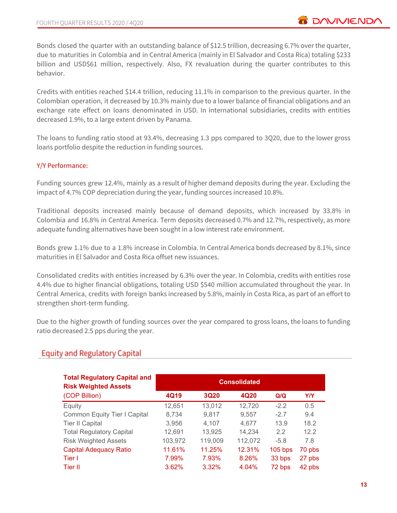Bonds closed the quarter with an outstanding balance of \$12.5 trillion, decreasing 6.7% over the quarter, due to maturities in Colombia and in Central America (mainly in El Salvador and Costa Rica) totaling \$233 billion and USD\$61 million, respectively. Also, FX revaluation during the quarter contributes to this behavior.

Credits with entities reached \$14.4 trillion, reducing 11.1% in comparison to the previous quarter. In the Colombian operation, it decreased by 10.3% mainly due to a lower balance of financial obligations and an exchange rate effect on loans denominated in USD. In international subsidiaries, credits with entities decreased 1.9%, to a large extent driven by Panama.

The loans to funding ratio stood at 93.4%, decreasing 1.3 pps compared to 3Q20, due to the lower gross loans portfolio despite the reduction in funding sources.

# Y/Y Performance:

Funding sources grew 12.4%, mainly as a result of higher demand deposits during the year. Excluding the impact of 4.7% COP depreciation during the year, funding sources increased 10.8%.

Traditional deposits increased mainly because of demand deposits, which increased by 33.8% in Colombia and 16.8% in Central America. Term deposits decreased 0.7% and 12.7%, respectively, as more adequate funding alternatives have been sought in a low interest rate environment.

Bonds grew 1.1% due to a 1.8% increase in Colombia. In Central America bonds decreased by 8.1%, since maturities in El Salvador and Costa Rica offset new issuances.

Consolidated credits with entities increased by 6.3% over the year. In Colombia, credits with entities rose 4.4% due to higher financial obligations, totaling USD \$540 million accumulated throughout the year. In Central America, credits with foreign banks increased by 5.8%, mainly in Costa Rica, as part of an effort to strengthen short-term funding.

Due to the higher growth of funding sources over the year compared to gross loans, the loans to funding ratio decreased 2.5 pps during the year.

# **Equity and Regulatory Capital**

| <b>Total Regulatory Capital and</b><br><b>Risk Weighted Assets</b> |         |             | <b>Consolidated</b> |           |            |
|--------------------------------------------------------------------|---------|-------------|---------------------|-----------|------------|
| (COP Billion)                                                      | 4Q19    | <b>3Q20</b> | 4Q20                | Q/Q       | <b>Y/Y</b> |
| Equity                                                             | 12,651  | 13,012      | 12,720              | $-2.2$    | 0.5        |
| <b>Common Equity Tier I Capital</b>                                | 8,734   | 9,817       | 9,557               | $-2.7$    | 9.4        |
| <b>Tier II Capital</b>                                             | 3,956   | 4,107       | 4.677               | 13.9      | 18.2       |
| <b>Total Regulatory Capital</b>                                    | 12,691  | 13,925      | 14.234              | 2.2       | 12.2       |
| <b>Risk Weighted Assets</b>                                        | 103,972 | 119,009     | 112,072             | $-5.8$    | 7.8        |
| <b>Capital Adequacy Ratio</b>                                      | 11.61%  | 11.25%      | 12.31%              | $105$ bps | 70 pbs     |
| Tier I                                                             | 7.99%   | 7.93%       | 8.26%               | 33 bps    | 27 pbs     |
| Tier II                                                            | 3.62%   | 3.32%       | 4.04%               | 72 bps    | 42 pbs     |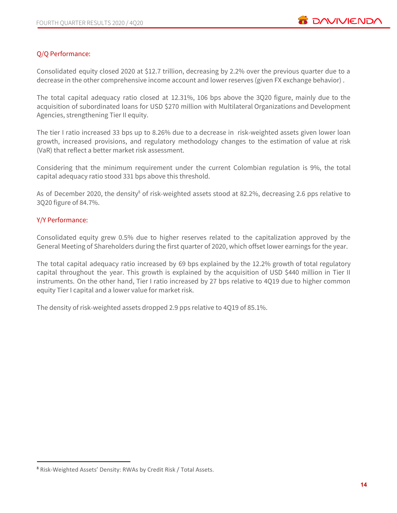### Q/Q Performance:

Consolidated equity closed 2020 at \$12.7 trillion, decreasing by 2.2% over the previous quarter due to a decrease in the other comprehensive income account and lower reserves (given FX exchange behavior) .

The total capital adequacy ratio closed at 12.31%, 106 bps above the 3Q20 figure, mainly due to the acquisition of subordinated loans for USD \$270 million with Multilateral Organizations and Development Agencies, strengthening Tier II equity.

The tier I ratio increased 33 bps up to 8.26% due to a decrease in risk-weighted assets given lower loan growth, increased provisions, and regulatory methodology changes to the estimation of value at risk (VaR) that reflect a better market risk assessment.

Considering that the minimum requirement under the current Colombian regulation is 9%, the total capital adequacy ratio stood 331 bps above this threshold.

As of December 2020, the density<sup>8</sup> of risk-weighted assets stood at 82.2%, decreasing 2.6 pps relative to 3Q20 figure of 84.7%.

#### Y/Y Performance:

Consolidated equity grew 0.5% due to higher reserves related to the capitalization approved by the General Meeting of Shareholders during the first quarter of 2020, which offset lower earnings for the year.

The total capital adequacy ratio increased by 69 bps explained by the 12.2% growth of total regulatory capital throughout the year. This growth is explained by the acquisition of USD \$440 million in Tier II instruments. On the other hand, Tier I ratio increased by 27 bps relative to 4Q19 due to higher common equity Tier I capital and a lower value for market risk.

The density of risk-weighted assets dropped 2.9 pps relative to 4Q19 of 85.1%.

<sup>8</sup> Risk-Weighted Assets' Density: RWAs by Credit Risk / Total Assets.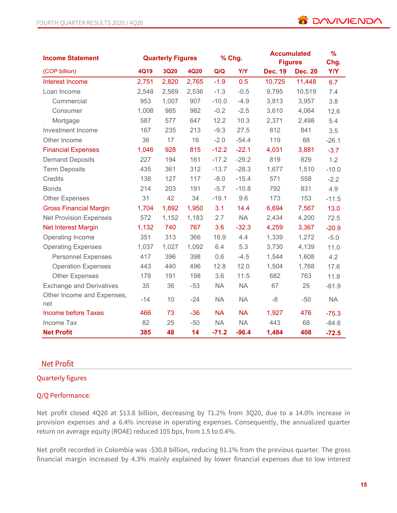| <b>Income Statement</b>           |       | <b>Quarterly Figures</b> |             |           | % Chg.     | <b>Accumulated</b><br><b>Figures</b> |                | $\frac{9}{6}$<br>Chg. |
|-----------------------------------|-------|--------------------------|-------------|-----------|------------|--------------------------------------|----------------|-----------------------|
| (COP billion)                     | 4Q19  | <b>3Q20</b>              | <b>4Q20</b> | Q/Q       | <b>Y/Y</b> | <b>Dec. 19</b>                       | <b>Dec. 20</b> | <b>Y/Y</b>            |
| <b>Interest Income</b>            | 2,751 | 2,820                    | 2,765       | $-1.9$    | 0.5        | 10,725                               | 11,448         | 6.7                   |
| Loan Income                       | 2,548 | 2,569                    | 2,536       | $-1.3$    | $-0.5$     | 9,795                                | 10,519         | 7.4                   |
| Commercial                        | 953   | 1,007                    | 907         | $-10.0$   | $-4.9$     | 3,813                                | 3,957          | 3.8                   |
| Consumer                          | 1,008 | 985                      | 982         | $-0.2$    | $-2.5$     | 3,610                                | 4,064          | 12.6                  |
| Mortgage                          | 587   | 577                      | 647         | 12.2      | 10.3       | 2,371                                | 2,498          | 5.4                   |
| Investment Income                 | 167   | 235                      | 213         | $-9.3$    | 27.5       | 812                                  | 841            | 3.5                   |
| Other Income                      | 36    | 17                       | 16          | $-2.0$    | $-54.4$    | 119                                  | 88             | $-26.1$               |
| <b>Financial Expenses</b>         | 1,046 | 928                      | 815         | $-12.2$   | $-22.1$    | 4,031                                | 3,881          | $-3.7$                |
| <b>Demand Deposits</b>            | 227   | 194                      | 161         | $-17.2$   | $-29.2$    | 819                                  | 829            | 1.2                   |
| <b>Term Deposits</b>              | 435   | 361                      | 312         | $-13.7$   | $-28.3$    | 1,677                                | 1,510          | $-10.0$               |
| Credits                           | 138   | 127                      | 117         | $-8.0$    | $-15.4$    | 571                                  | 558            | $-2.2$                |
| <b>Bonds</b>                      | 214   | 203                      | 191         | $-5.7$    | $-10.8$    | 792                                  | 831            | 4.9                   |
| <b>Other Expenses</b>             | 31    | 42                       | 34          | $-19.1$   | 9.6        | 173                                  | 153            | $-11.5$               |
| <b>Gross Financial Margin</b>     | 1,704 | 1,892                    | 1,950       | 3.1       | 14.4       | 6,694                                | 7,567          | 13.0                  |
| <b>Net Provision Expenses</b>     | 572   | 1,152                    | 1,183       | 2.7       | <b>NA</b>  | 2,434                                | 4,200          | 72.5                  |
| <b>Net Interest Margin</b>        | 1,132 | 740                      | 767         | 3.6       | $-32.3$    | 4,259                                | 3,367          | $-20.9$               |
| Operating Income                  | 351   | 313                      | 366         | 16.9      | 4.4        | 1,339                                | 1,272          | $-5.0$                |
| <b>Operating Expenses</b>         | 1,037 | 1,027                    | 1,092       | 6.4       | 5.3        | 3,730                                | 4,139          | 11.0                  |
| <b>Personnel Expenses</b>         | 417   | 396                      | 398         | 0.6       | $-4.5$     | 1,544                                | 1,608          | 4.2                   |
| <b>Operation Expenses</b>         | 443   | 440                      | 496         | 12.8      | 12.0       | 1,504                                | 1,768          | 17.6                  |
| <b>Other Expenses</b>             | 178   | 191                      | 198         | 3.6       | 11.5       | 682                                  | 763            | 11.8                  |
| <b>Exchange and Derivatives</b>   | 35    | 36                       | $-53$       | <b>NA</b> | <b>NA</b>  | 67                                   | 25             | $-61.9$               |
| Other Income and Expenses,<br>net | $-14$ | 10                       | $-24$       | <b>NA</b> | <b>NA</b>  | $-8$                                 | $-50$          | <b>NA</b>             |
| <b>Income before Taxes</b>        | 466   | 73                       | $-36$       | <b>NA</b> | <b>NA</b>  | 1,927                                | 476            | $-75.3$               |
| Income Tax                        | 82    | 25                       | $-50$       | <b>NA</b> | <b>NA</b>  | 443                                  | 68             | $-84.6$               |
| <b>Net Profit</b>                 | 385   | 48                       | 14          | $-71.2$   | $-96.4$    | 1,484                                | 408            | $-72.5$               |

# **Net Profit**

### Quarterly figures

### Q/Q Performance:

Net profit closed 4Q20 at \$13.8 billion, decreasing by 71.2% from 3Q20, due to a 14.0% increase in provision expenses and a 6.4% increase in operating expenses. Consequently, the annualized quarter return on average equity (ROAE) reduced 105 bps, from 1.5 to 0.4%.

Net profit recorded in Colombia was -\$30.8 billion, reducing 91.1% from the previous quarter. The gross financial margin increased by 4.3% mainly explained by lower financial expenses due to low interest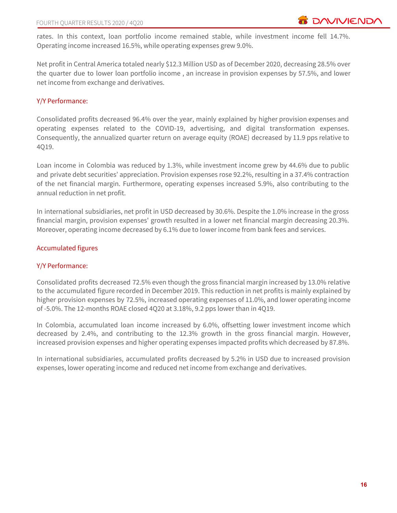rates. In this context, loan portfolio income remained stable, while investment income fell 14.7%. Operating income increased 16.5%, while operating expenses grew 9.0%.

Net profit in Central America totaled nearly \$12.3 Million USD as of December 2020, decreasing 28.5% over the quarter due to lower loan portfolio income , an increase in provision expenses by 57.5%, and lower net income from exchange and derivatives.

### Y/Y Performance:

Consolidated profits decreased 96.4% over the year, mainly explained by higher provision expenses and operating expenses related to the COVID-19, advertising, and digital transformation expenses. Consequently, the annualized quarter return on average equity (ROAE) decreased by 11.9 pps relative to 4Q19.

Loan income in Colombia was reduced by 1.3%, while investment income grew by 44.6% due to public and private debt securities' appreciation. Provision expenses rose 92.2%, resulting in a 37.4% contraction of the net financial margin. Furthermore, operating expenses increased 5.9%, also contributing to the annual reduction in net profit.

In international subsidiaries, net profit in USD decreased by 30.6%. Despite the 1.0% increase in the gross financial margin, provision expenses' growth resulted in a lower net financial margin decreasing 20.3%. Moreover, operating income decreased by 6.1% due to lower income from bank fees and services.

### Accumulated figures

### Y/Y Performance:

Consolidated profits decreased 72.5% even though the gross financial margin increased by 13.0% relative to the accumulated figure recorded in December 2019. This reduction in net profits is mainly explained by higher provision expenses by 72.5%, increased operating expenses of 11.0%, and lower operating income of -5.0%. The 12-months ROAE closed 4Q20 at 3.18%, 9.2 pps lower than in 4Q19.

In Colombia, accumulated loan income increased by 6.0%, offsetting lower investment income which decreased by 2.4%, and contributing to the 12.3% growth in the gross financial margin. However, increased provision expenses and higher operating expenses impacted profits which decreased by 87.8%.

In international subsidiaries, accumulated profits decreased by 5.2% in USD due to increased provision expenses, lower operating income and reduced net income from exchange and derivatives.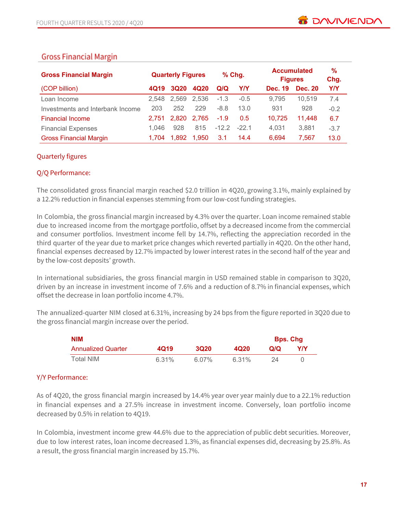# **Gross Financial Margin**

| <b>Gross Financial Margin</b>    |       | <b>Quarterly Figures</b> |       |         | $%$ Chg.   | <b>Figures</b> | <b>Accumulated</b> | $\frac{9}{6}$<br>Chg. |
|----------------------------------|-------|--------------------------|-------|---------|------------|----------------|--------------------|-----------------------|
| (COP billion)                    | 4Q19  | <b>3Q20</b>              | 4Q20  | Q/Q     | <b>Y/Y</b> | Dec. 19        | <b>Dec. 20</b>     | <b>Y/Y</b>            |
| Loan Income                      | 2.548 | 2.569                    | 2,536 | $-1.3$  | $-0.5$     | 9,795          | 10,519             | 7.4                   |
| Investments and Interbank Income | 203   | 252                      | 229   | $-8.8$  | 13.0       | 931            | 928                | $-0.2$                |
| <b>Financial Income</b>          | 2.751 | 2.820                    | 2,765 | $-1.9$  | 0.5        | 10,725         | 11,448             | 6.7                   |
| <b>Financial Expenses</b>        | 1.046 | 928                      | 815   | $-12.2$ | $-22.1$    | 4,031          | 3,881              | $-3.7$                |
| <b>Gross Financial Margin</b>    | 1.704 | 1.892                    | 1.950 | 3.1     | 14.4       | 6.694          | 7.567              | 13.0                  |

### Quarterly figures

### Q/Q Performance:

The consolidated gross financial margin reached \$2.0 trillion in 4Q20, growing 3.1%, mainly explained by a 12.2% reduction in financial expenses stemming from our low-cost funding strategies.

In Colombia, the gross financial margin increased by 4.3% over the quarter. Loan income remained stable due to increased income from the mortgage portfolio, offset by a decreased income from the commercial and consumer portfolios. Investment income fell by 14.7%, reflecting the appreciation recorded in the third quarter of the year due to market price changes which reverted partially in 4Q20. On the other hand, financial expenses decreased by 12.7% impacted by lower interest rates in the second half of the year and by the low-cost deposits' growth.

In international subsidiaries, the gross financial margin in USD remained stable in comparison to 3Q20, driven by an increase in investment income of 7.6% and a reduction of 8.7% in financial expenses, which offset the decrease in loan portfolio income 4.7%.

The annualized-quarter NIM closed at 6.31%, increasing by 24 bps from the figure reported in 3Q20 due to the gross financial margin increase over the period.

| <b>NIM</b>                |       |          |                  |     | <b>Bps. Chg</b> |
|---------------------------|-------|----------|------------------|-----|-----------------|
| <b>Annualized Quarter</b> | 4Q19  | 3020     | 4Q <sub>20</sub> | Q/Q | Y/Y             |
| Total NIM                 | 6.31% | $6.07\%$ | 6.31%            |     |                 |

### Y/Y Performance:

As of 4Q20, the gross financial margin increased by 14.4% year over year mainly due to a 22.1% reduction in financial expenses and a 27.5% increase in investment income. Conversely, loan portfolio income decreased by 0.5% in relation to 4Q19.

In Colombia, investment income grew 44.6% due to the appreciation of public debt securities. Moreover, due to low interest rates, loan income decreased 1.3%, as financial expenses did, decreasing by 25.8%. As a result, the gross financial margin increased by 15.7%.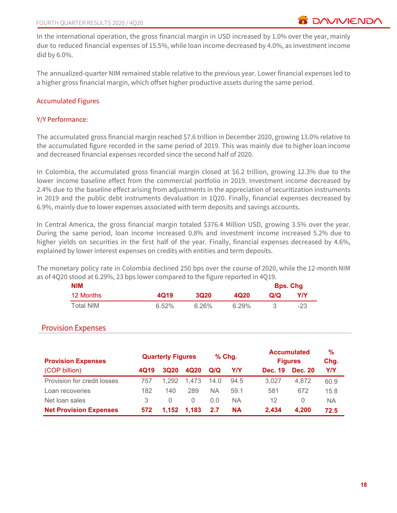In the international operation, the gross financial margin in USD increased by 1.0% over the year, mainly due to reduced financial expenses of 15.5%, while loan income decreased by 4.0%, as investment income did by 6.0%.

The annualized-quarter NIM remained stable relative to the previous year. Lower financial expenses led to a higher gross financial margin, which offset higher productive assets during the same period.

### Accumulated Figures

#### Y/Y Performance:

The accumulated gross financial margin reached \$7.6 trillion in December 2020, growing 13.0% relative to the accumulated figure recorded in the same period of 2019. This was mainly due to higher loan income and decreased financial expenses recorded since the second half of 2020.

In Colombia, the accumulated gross financial margin closed at \$6.2 trillion, growing 12.3% due to the lower income baseline effect from the commercial portfolio in 2019. Investment income decreased by 2.4% due to the baseline effect arising from adjustments in the appreciation of securitization instruments in 2019 and the public debt instruments devaluation in 1Q20. Finally, financial expenses decreased by 6.9%, mainly due to lower expenses associated with term deposits and savings accounts.

In Central America, the gross financial margin totaled \$376.4 Million USD, growing 3.5% over the year. During the same period, loan income increased 0.8% and investment income increased 5.2% due to higher yields on securities in the first half of the year. Finally, financial expenses decreased by 4.6%, explained by lower interest expenses on credits with entities and term deposits.

The monetary policy rate in Colombia declined 250 bps over the course of 2020, while the 12-month NIM as of 4Q20 stood at 6.29%, 23 bps lower compared to the figure reported in 4Q19.

| <b>NIM</b> |       |             |                  |     | <b>Bps. Chg</b> |
|------------|-------|-------------|------------------|-----|-----------------|
| 12 Months  | 4Q19  | <b>3Q20</b> | 4Q <sub>20</sub> | Q/Q | Y/Y             |
| Total NIM  | 6.52% | 6.26%       | 6.29%            |     | -23             |

# **Provision Expenses**

| <b>Provision Expenses</b>     |      | <b>Quarterly Figures</b> |                  |      | $%$ Chg.  |                | <b>Accumulated</b><br><b>Figures</b> | %<br>Chg. |
|-------------------------------|------|--------------------------|------------------|------|-----------|----------------|--------------------------------------|-----------|
| (COP billion)                 | 4Q19 | 3Q20                     | 4Q20             | Q/Q  | Y/Y       | <b>Dec. 19</b> | <b>Dec. 20</b>                       | Y/Y       |
| Provision for credit losses   | 757  | 1.292                    | 1.473            | 14.0 | 94.5      | 3.027          | 4.872                                | 60.9      |
| Loan recoveries               | 182  | 140                      | 289              | ΝA   | 59.1      | 581            | 672                                  | 15.8      |
| Net loan sales                | 3    | $\left( \right)$         | $\left( \right)$ | 0.0  | NА        | 12             | $\left( \right)$                     | ΝA        |
| <b>Net Provision Expenses</b> | 572  | 1,152                    | 1.183            | 2.7  | <b>NA</b> | 2.434          | 4.200                                | 72.5      |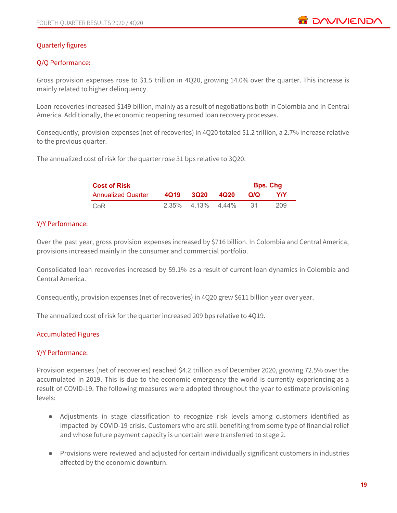

### Quarterly figures

### Q/Q Performance:

Gross provision expenses rose to \$1.5 trillion in 4Q20, growing 14.0% over the quarter. This increase is mainly related to higher delinquency.

Loan recoveries increased \$149 billion, mainly as a result of negotiations both in Colombia and in Central America. Additionally, the economic reopening resumed loan recovery processes.

Consequently, provision expenses (net of recoveries) in 4Q20 totaled \$1.2 trillion, a 2.7% increase relative to the previous quarter.

The annualized cost of risk for the quarter rose 31 bps relative to 3Q20.

| <b>Cost of Risk</b>       |      |                      |      |     | <b>Bps. Chg</b> |
|---------------------------|------|----------------------|------|-----|-----------------|
| <b>Annualized Quarter</b> | 4019 | <b>3020</b>          | 4Q20 | Q/Q | Y/Y             |
| CoR                       |      | $2.35\%$ 4.13% 4.44% |      |     | 209             |

#### Y/Y Performance:

Over the past year, gross provision expenses increased by \$716 billion. In Colombia and Central America, provisions increased mainly in the consumer and commercial portfolio.

Consolidated loan recoveries increased by 59.1% as a result of current loan dynamics in Colombia and Central America.

Consequently, provision expenses (net of recoveries) in 4Q20 grew \$611 billion year over year.

The annualized cost of risk for the quarter increased 209 bps relative to 4Q19.

#### Accumulated Figures

#### Y/Y Performance:

Provision expenses (net of recoveries) reached \$4.2 trillion as of December 2020, growing 72.5% over the accumulated in 2019. This is due to the economic emergency the world is currently experiencing as a result of COVID-19. The following measures were adopted throughout the year to estimate provisioning levels:

- Adjustments in stage classification to recognize risk levels among customers identified as impacted by COVID-19 crisis. Customers who are still benefiting from some type of financial relief and whose future payment capacity is uncertain were transferred to stage 2.
- Provisions were reviewed and adjusted for certain individually significant customers in industries affected by the economic downturn.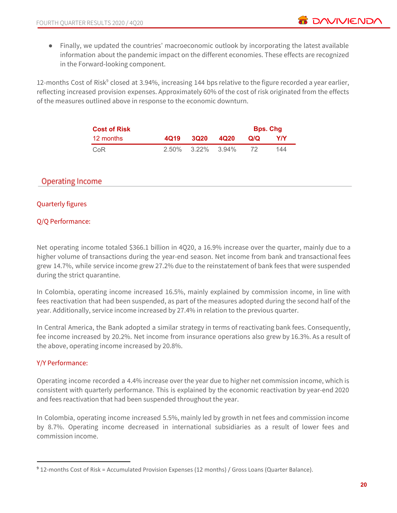12-months Cost of Risk<sup>9</sup> closed at 3.94%, increasing 144 bps relative to the figure recorded a year earlier, reflecting increased provision expenses. Approximately 60% of the cost of risk originated from the effects of the measures outlined above in response to the economic downturn.

| <b>Cost of Risk</b> |      |                            | <b>Bps. Chg</b> |     |
|---------------------|------|----------------------------|-----------------|-----|
| 12 months           | 4019 | 3020 4020                  | Q/Q             | Y/Y |
| CoR                 |      | $2.50\%$ $3.22\%$ $3.94\%$ |                 | 144 |

# **Operating Income**

### Quarterly figures

### Q/Q Performance:

Net operating income totaled \$366.1 billion in 4Q20, a 16.9% increase over the quarter, mainly due to a higher volume of transactions during the year-end season. Net income from bank and transactional fees grew 14.7%, while service income grew 27.2% due to the reinstatement of bank fees that were suspended during the strict quarantine.

In Colombia, operating income increased 16.5%, mainly explained by commission income, in line with fees reactivation that had been suspended, as part of the measures adopted during the second half of the year. Additionally, service income increased by 27.4% in relation to the previous quarter.

In Central America, the Bank adopted a similar strategy in terms of reactivating bank fees. Consequently, fee income increased by 20.2%. Net income from insurance operations also grew by 16.3%. As a result of the above, operating income increased by 20.8%.

# Y/Y Performance:

Operating income recorded a 4.4% increase over the year due to higher net commission income, which is consistent with quarterly performance. This is explained by the economic reactivation by year-end 2020 and fees reactivation that had been suspended throughout the year.

In Colombia, operating income increased 5.5%, mainly led by growth in net fees and commission income by 8.7%. Operating income decreased in international subsidiaries as a result of lower fees and commission income.

**B** DAVIVIEND

<sup>9</sup> 12-months Cost of Risk = Accumulated Provision Expenses (12 months) / Gross Loans (Quarter Balance).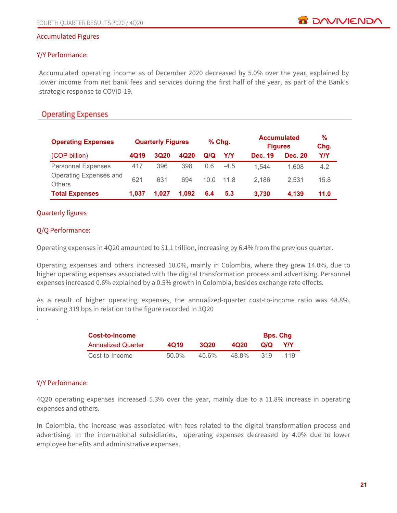#### Accumulated Figures

#### Y/Y Performance:

Accumulated operating income as of December 2020 decreased by 5.0% over the year, explained by lower income from net bank fees and services during the first half of the year, as part of the Bank's strategic response to COVID-19.

# **Operating Expenses**

| <b>Operating Expenses</b>               |       | <b>Quarterly Figures</b> |       | $%$ Chg. |        | <b>Figures</b> | <b>Accumulated</b> | %<br>Chg.  |
|-----------------------------------------|-------|--------------------------|-------|----------|--------|----------------|--------------------|------------|
| (COP billion)                           | 4Q19  | <b>3Q20</b>              | 4Q20  | Q/Q      | Y/Y    | <b>Dec. 19</b> | <b>Dec. 20</b>     | <b>Y/Y</b> |
| <b>Personnel Expenses</b>               | 417   | 396                      | 398   | 0.6      | $-4.5$ | 1.544          | 1.608              | 4.2        |
| Operating Expenses and<br><b>Others</b> | 621   | 631                      | 694   | 10.0     | 11.8   | 2.186          | 2.531              | 15.8       |
| <b>Total Expenses</b>                   | 1.037 | 1.027                    | 1.092 | 6.4      | 5.3    | 3,730          | 4,139              | 11.0       |

#### Quarterly figures

#### Q/Q Performance:

Operating expenses in 4Q20 amounted to \$1.1 trillion, increasing by 6.4% from the previous quarter.

Operating expenses and others increased 10.0%, mainly in Colombia, where they grew 14.0%, due to higher operating expenses associated with the digital transformation process and advertising. Personnel expenses increased 0.6% explained by a 0.5% growth in Colombia, besides exchange rate effects.

As a result of higher operating expenses, the annualized-quarter cost-to-income ratio was 48.8%, increasing 319 bps in relation to the figure recorded in 3Q20

| Cost-to-Income            |          |             |       |     | <b>Bps. Chg</b> |
|---------------------------|----------|-------------|-------|-----|-----------------|
| <b>Annualized Quarter</b> | 4019     | <b>3Q20</b> | 4Q20  | Q/Q | <b>Y/Y</b>      |
| Cost-to-Income            | $50.0\%$ | $456\%$     | 48.8% | 319 | $-119$          |

#### Y/Y Performance:

.

4Q20 operating expenses increased 5.3% over the year, mainly due to a 11.8% increase in operating expenses and others.

In Colombia, the increase was associated with fees related to the digital transformation process and advertising. In the international subsidiaries, operating expenses decreased by 4.0% due to lower employee benefits and administrative expenses.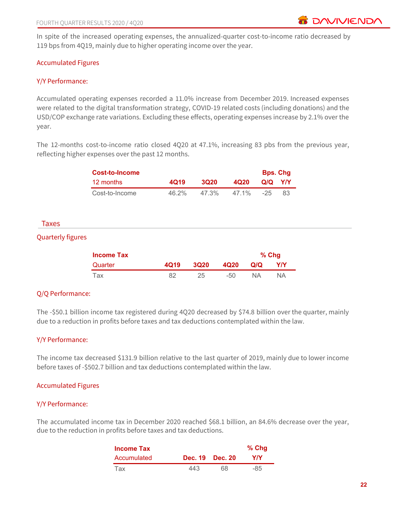In spite of the increased operating expenses, the annualized-quarter cost-to-income ratio decreased by 119 bps from 4Q19, mainly due to higher operating income over the year.

### Accumulated Figures

#### Y/Y Performance:

Accumulated operating expenses recorded a 11.0% increase from December 2019. Increased expenses were related to the digital transformation strategy, COVID-19 related costs (including donations) and the USD/COP exchange rate variations. Excluding these effects, operating expenses increase by 2.1% over the year.

The 12-months cost-to-income ratio closed 4Q20 at 47.1%, increasing 83 pbs from the previous year, reflecting higher expenses over the past 12 months.

|                          | <b>Cost-to-Income</b> |       |             |       |           | <b>Bps. Chg</b> |
|--------------------------|-----------------------|-------|-------------|-------|-----------|-----------------|
|                          | 12 months             | 4Q19  | <b>3Q20</b> | 4Q20  | Q/Q       | Y/Y             |
|                          | Cost-to-Income        | 46.2% | 47.3%       | 47.1% | $-25$     | 83              |
|                          |                       |       |             |       |           |                 |
| Taxes                    |                       |       |             |       |           |                 |
| <b>Quarterly figures</b> |                       |       |             |       |           |                 |
|                          | <b>Income Tax</b>     |       |             |       |           | % Chg           |
|                          | Quarter               | 4Q19  | <b>3Q20</b> | 4Q20  | Q/Q       | <b>Y/Y</b>      |
|                          | Tax                   | 82    | 25          | $-50$ | <b>NA</b> | <b>NA</b>       |
|                          |                       |       |             |       |           |                 |

### Q/Q Performance:

The -\$50.1 billion income tax registered during 4Q20 decreased by \$74.8 billion over the quarter, mainly due to a reduction in profits before taxes and tax deductions contemplated within the law.

#### Y/Y Performance:

The income tax decreased \$131.9 billion relative to the last quarter of 2019, mainly due to lower income before taxes of -\$502.7 billion and tax deductions contemplated within the law.

#### Accumulated Figures

### Y/Y Performance:

The accumulated income tax in December 2020 reached \$68.1 billion, an 84.6% decrease over the year, due to the reduction in profits before taxes and tax deductions.

| <b>Income Tax</b> |     |                 | $%$ Chg |
|-------------------|-----|-----------------|---------|
| Accumulated       |     | Dec. 19 Dec. 20 | YIY     |
| l ax              | 443 | 68              | -85     |